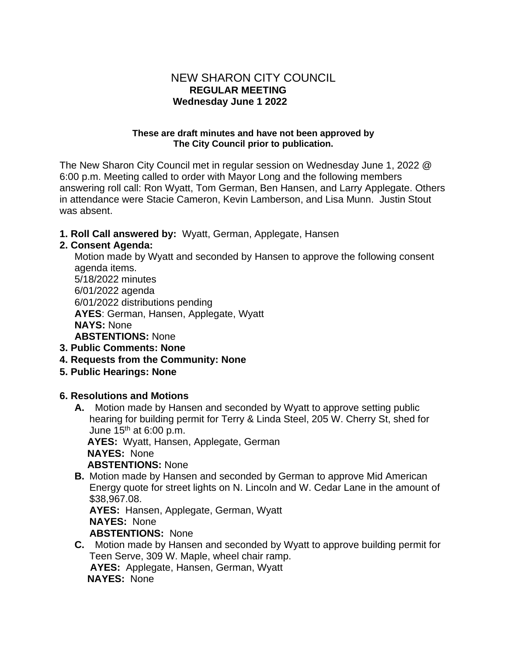### NEW SHARON CITY COUNCIL  **REGULAR MEETING Wednesday June 1 2022**

#### **These are draft minutes and have not been approved by The City Council prior to publication.**

The New Sharon City Council met in regular session on Wednesday June 1, 2022 @ 6:00 p.m. Meeting called to order with Mayor Long and the following members answering roll call: Ron Wyatt, Tom German, Ben Hansen, and Larry Applegate. Others in attendance were Stacie Cameron, Kevin Lamberson, and Lisa Munn. Justin Stout was absent.

**1. Roll Call answered by:** Wyatt, German, Applegate, Hansen

### **2. Consent Agenda:**

Motion made by Wyatt and seconded by Hansen to approve the following consent agenda items. 5/18/2022 minutes 6/01/2022 agenda 6/01/2022 distributions pending **AYES**: German, Hansen, Applegate, Wyatt **NAYS:** None **ABSTENTIONS:** None **3. Public Comments: None**

- **4. Requests from the Community: None**
- **5. Public Hearings: None**

#### **6. Resolutions and Motions**

**A.** Motion made by Hansen and seconded by Wyatt to approve setting public hearing for building permit for Terry & Linda Steel, 205 W. Cherry St, shed for June  $15<sup>th</sup>$  at 6:00 p.m.

 **AYES:** Wyatt, Hansen, Applegate, German **NAYES:** None

**ABSTENTIONS:** None

**B.** Motion made by Hansen and seconded by German to approve Mid American Energy quote for street lights on N. Lincoln and W. Cedar Lane in the amount of \$38,967.08.

**AYES:** Hansen, Applegate, German, Wyatt **NAYES:** None **ABSTENTIONS:** None

**C.** Motion made by Hansen and seconded by Wyatt to approve building permit for Teen Serve, 309 W. Maple, wheel chair ramp. **AYES:** Applegate, Hansen, German, Wyatt **NAYES:** None